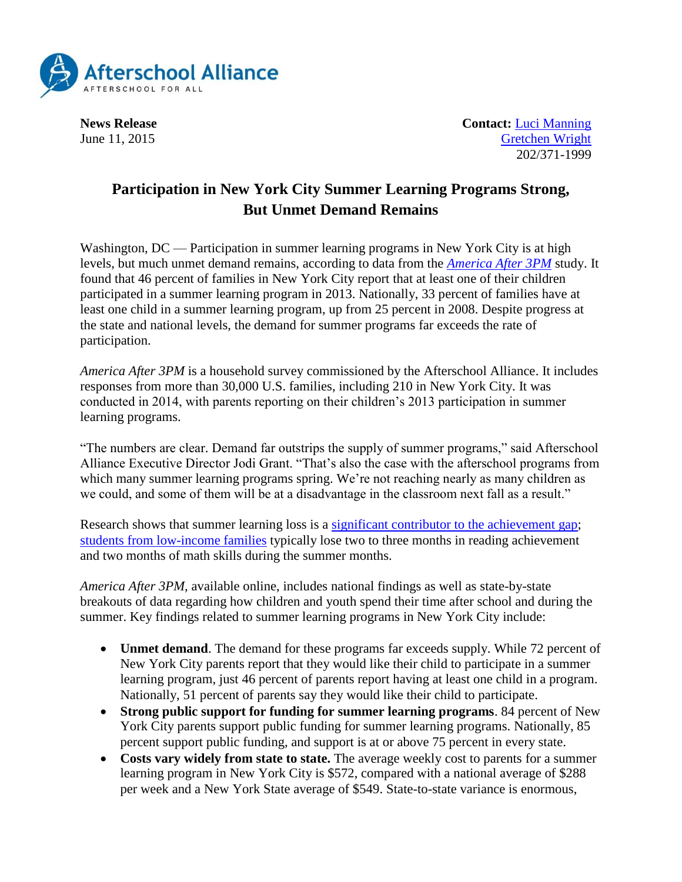

**News Release Contact:** [Luci Manning](mailto:luci@prsolutionsdc.com) June 11, 2015 [Gretchen Wright](mailto:gretchen@prsolutionsdc.com) 202/371-1999

## **Participation in New York City Summer Learning Programs Strong, But Unmet Demand Remains**

Washington, DC — Participation in summer learning programs in New York City is at high levels, but much unmet demand remains, according to data from the *[America After 3PM](http://www.afterschoolalliance.org/AA3PM)* study. It found that 46 percent of families in New York City report that at least one of their children participated in a summer learning program in 2013. Nationally, 33 percent of families have at least one child in a summer learning program, up from 25 percent in 2008. Despite progress at the state and national levels, the demand for summer programs far exceeds the rate of participation.

*America After 3PM* is a household survey commissioned by the Afterschool Alliance. It includes responses from more than 30,000 U.S. families, including 210 in New York City. It was conducted in 2014, with parents reporting on their children's 2013 participation in summer learning programs.

"The numbers are clear. Demand far outstrips the supply of summer programs," said Afterschool Alliance Executive Director Jodi Grant. "That's also the case with the afterschool programs from which many summer learning programs spring. We're not reaching nearly as many children as we could, and some of them will be at a disadvantage in the classroom next fall as a result."

Research shows that summer learning loss is a [significant contributor to the achievement gap;](http://www.ewa.org/sites/main/files/file-attachments/summer_learning_gap-2.pdf) [students from low-income families](http://psychandneuro.duke.edu/uploads/media_items/summer-learning-loss.original.pdf) typically lose two to three months in reading achievement and two months of math skills during the summer months.

*America After 3PM*, available online, includes national findings as well as state-by-state breakouts of data regarding how children and youth spend their time after school and during the summer. Key findings related to summer learning programs in New York City include:

- **Unmet demand**. The demand for these programs far exceeds supply. While 72 percent of New York City parents report that they would like their child to participate in a summer learning program, just 46 percent of parents report having at least one child in a program. Nationally, 51 percent of parents say they would like their child to participate.
- **Strong public support for funding for summer learning programs**. 84 percent of New York City parents support public funding for summer learning programs. Nationally, 85 percent support public funding, and support is at or above 75 percent in every state.
- **Costs vary widely from state to state.** The average weekly cost to parents for a summer learning program in New York City is \$572, compared with a national average of \$288 per week and a New York State average of \$549. State-to-state variance is enormous,